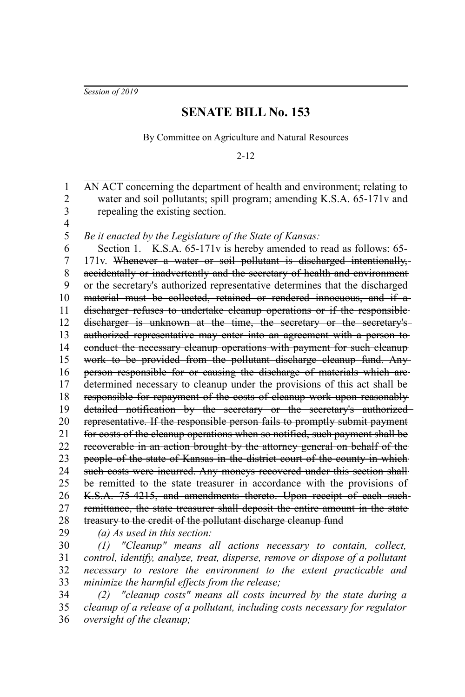*Session of 2019*

## **SENATE BILL No. 153**

By Committee on Agriculture and Natural Resources

2-12

AN ACT concerning the department of health and environment; relating to water and soil pollutants; spill program; amending K.S.A. 65-171 $v$  and repealing the existing section. *Be it enacted by the Legislature of the State of Kansas:* Section 1. K.S.A. 65-171v is hereby amended to read as follows: 65-171v. Whenever a water or soil pollutant is discharged intentionally, accidentally or inadvertently and the secretary of health and environment or the secretary's authorized representative determines that the discharged material must be collected, retained or rendered innocuous, and if a discharger refuses to undertake cleanup operations or if the responsible discharger is unknown at the time, the secretary or the secretary'sauthorized representative may enter into an agreement with a person to conduct the necessary cleanup operations with payment for such cleanup work to be provided from the pollutant discharge cleanup fund. Any person responsible for or causing the discharge of materials which are determined necessary to cleanup under the provisions of this act shall be responsible for repayment of the costs of cleanup work upon reasonably detailed notification by the secretary or the secretary's authorized representative. If the responsible person fails to promptly submit payment for costs of the cleanup operations when so notified, such payment shall be recoverable in an action brought by the attorney general on behalf of the people of the state of Kansas in the district court of the county in which such costs were incurred. Any moneys recovered under this section shall be remitted to the state treasurer in accordance with the provisions of K.S.A. 75-4215, and amendments thereto. Upon receipt of each such remittance, the state treasurer shall deposit the entire amount in the state treasury to the credit of the pollutant discharge cleanup fund *(a) As used in this section: (1) "Cleanup" means all actions necessary to contain, collect, control, identify, analyze, treat, disperse, remove or dispose of a pollutant necessary to restore the environment to the extent practicable and minimize the harmful effects from the release;* 1 2 3 4 5 6 7 8 9 10 11 12 13 14 15 16 17 18 19 20 21 22 23 24 25 26 27 28 29 30 31 32 33

*(2) "cleanup costs" means all costs incurred by the state during a cleanup of a release of a pollutant, including costs necessary for regulator oversight of the cleanup;* 34 35 36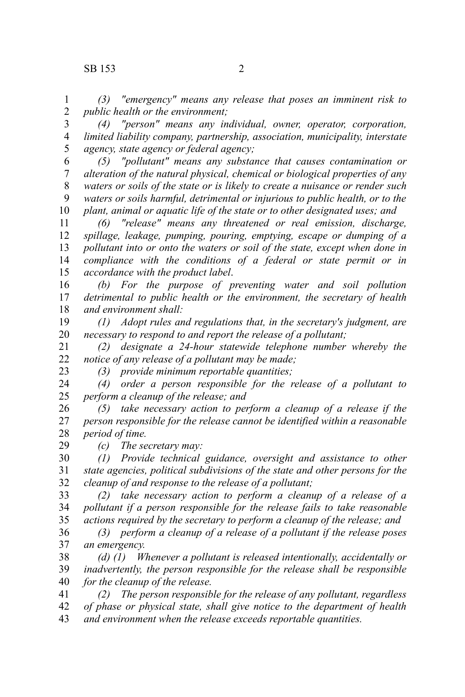*(3) "emergency" means any release that poses an imminent risk to public health or the environment;* 1 2

*(4) "person" means any individual, owner, operator, corporation, limited liability company, partnership, association, municipality, interstate agency, state agency or federal agency;* 3 4 5

*(5) "pollutant" means any substance that causes contamination or alteration of the natural physical, chemical or biological properties of any waters or soils of the state or is likely to create a nuisance or render such waters or soils harmful, detrimental or injurious to public health, or to the plant, animal or aquatic life of the state or to other designated uses; and* 6 7 8 9 10

*(6) "release" means any threatened or real emission, discharge, spillage, leakage, pumping, pouring, emptying, escape or dumping of a pollutant into or onto the waters or soil of the state, except when done in compliance with the conditions of a federal or state permit or in accordance with the product label*. 11 12 13 14 15

*(b) For the purpose of preventing water and soil pollution detrimental to public health or the environment, the secretary of health and environment shall:* 16 17 18

*(1) Adopt rules and regulations that, in the secretary's judgment, are necessary to respond to and report the release of a pollutant;* 19 20

*(2) designate a 24-hour statewide telephone number whereby the notice of any release of a pollutant may be made;* 21 22

23

*(3) provide minimum reportable quantities;*

*(4) order a person responsible for the release of a pollutant to perform a cleanup of the release; and* 24 25

*(5) take necessary action to perform a cleanup of a release if the person responsible for the release cannot be identified within a reasonable period of time.* 26 27 28

*(c) The secretary may:* 29

*(1) Provide technical guidance, oversight and assistance to other state agencies, political subdivisions of the state and other persons for the cleanup of and response to the release of a pollutant;* 30 31 32

*(2) take necessary action to perform a cleanup of a release of a pollutant if a person responsible for the release fails to take reasonable actions required by the secretary to perform a cleanup of the release; and* 33 34 35

*(3) perform a cleanup of a release of a pollutant if the release poses an emergency.* 36 37

*(d) (1) Whenever a pollutant is released intentionally, accidentally or inadvertently, the person responsible for the release shall be responsible for the cleanup of the release.* 38 39 40

*(2) The person responsible for the release of any pollutant, regardless of phase or physical state, shall give notice to the department of health and environment when the release exceeds reportable quantities.* 41 42 43